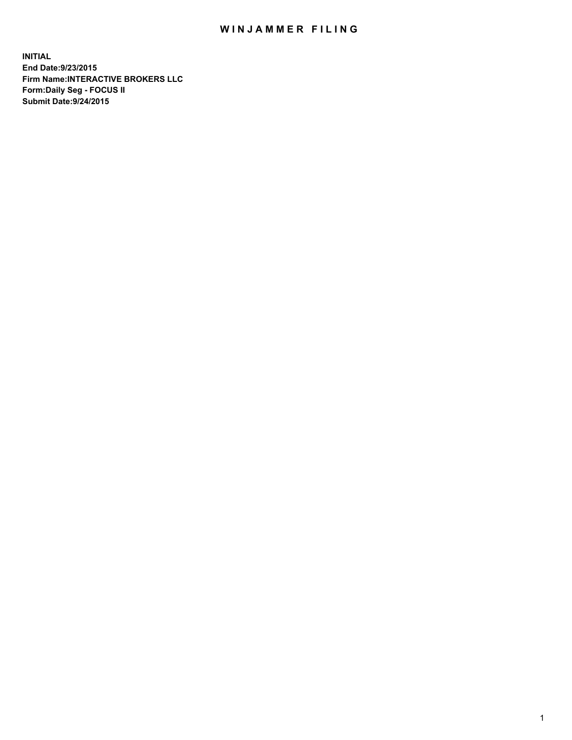## WIN JAMMER FILING

**INITIAL End Date:9/23/2015 Firm Name:INTERACTIVE BROKERS LLC Form:Daily Seg - FOCUS II Submit Date:9/24/2015**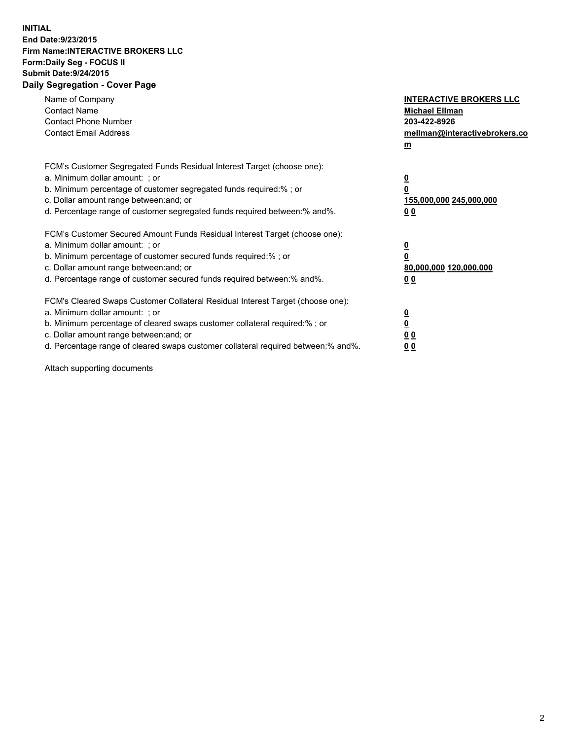## **INITIAL End Date:9/23/2015 Firm Name:INTERACTIVE BROKERS LLC Form:Daily Seg - FOCUS II Submit Date:9/24/2015 Daily Segregation - Cover Page**

| Name of Company<br><b>Contact Name</b><br><b>Contact Phone Number</b><br><b>Contact Email Address</b>                                                                                                                                                                                                                          | <b>INTERACTIVE BROKERS LLC</b><br><b>Michael Ellman</b><br>203-422-8926<br>mellman@interactivebrokers.co<br>$m$ |
|--------------------------------------------------------------------------------------------------------------------------------------------------------------------------------------------------------------------------------------------------------------------------------------------------------------------------------|-----------------------------------------------------------------------------------------------------------------|
| FCM's Customer Segregated Funds Residual Interest Target (choose one):<br>a. Minimum dollar amount: ; or<br>b. Minimum percentage of customer segregated funds required:% ; or<br>c. Dollar amount range between: and; or<br>d. Percentage range of customer segregated funds required between: % and %.                       | $\overline{\mathbf{0}}$<br>0<br>155,000,000 245,000,000<br>00                                                   |
| FCM's Customer Secured Amount Funds Residual Interest Target (choose one):<br>a. Minimum dollar amount: ; or<br>b. Minimum percentage of customer secured funds required:%; or<br>c. Dollar amount range between: and; or<br>d. Percentage range of customer secured funds required between: % and %.                          | $\overline{\mathbf{0}}$<br>0<br>80,000,000 120,000,000<br>0 <sub>0</sub>                                        |
| FCM's Cleared Swaps Customer Collateral Residual Interest Target (choose one):<br>a. Minimum dollar amount: ; or<br>b. Minimum percentage of cleared swaps customer collateral required:% ; or<br>c. Dollar amount range between: and; or<br>d. Percentage range of cleared swaps customer collateral required between:% and%. | $\overline{\mathbf{0}}$<br>$\underline{\mathbf{0}}$<br>0 <sub>0</sub><br>0 <sub>0</sub>                         |

Attach supporting documents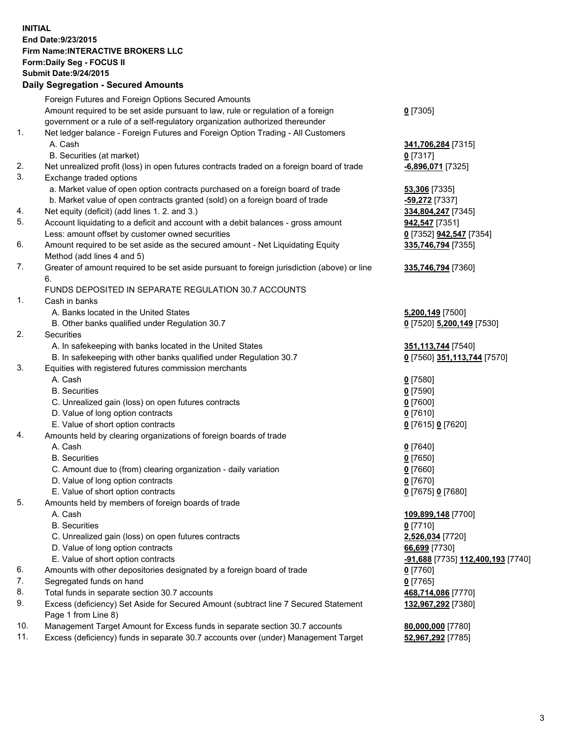## **INITIAL End Date:9/23/2015 Firm Name:INTERACTIVE BROKERS LLC Form:Daily Seg - FOCUS II Submit Date:9/24/2015 Daily Segregation - Secured Amounts**

|     | Dany Ocgregation - Oceanea Annoanta                                                         |                                                |
|-----|---------------------------------------------------------------------------------------------|------------------------------------------------|
|     | Foreign Futures and Foreign Options Secured Amounts                                         |                                                |
|     | Amount required to be set aside pursuant to law, rule or regulation of a foreign            | $0$ [7305]                                     |
|     | government or a rule of a self-regulatory organization authorized thereunder                |                                                |
| 1.  | Net ledger balance - Foreign Futures and Foreign Option Trading - All Customers             |                                                |
|     | A. Cash                                                                                     | 341,706,284 [7315]                             |
|     | B. Securities (at market)                                                                   | $0$ [7317]                                     |
| 2.  | Net unrealized profit (loss) in open futures contracts traded on a foreign board of trade   | -6,896,071 [7325]                              |
| 3.  | Exchange traded options                                                                     |                                                |
|     | a. Market value of open option contracts purchased on a foreign board of trade              | <b>53,306</b> [7335]                           |
|     | b. Market value of open contracts granted (sold) on a foreign board of trade                | -59,272 [7337]                                 |
| 4.  | Net equity (deficit) (add lines 1.2. and 3.)                                                | 334,804,247 [7345]                             |
| 5.  | Account liquidating to a deficit and account with a debit balances - gross amount           | <b>942,547</b> [7351]                          |
|     | Less: amount offset by customer owned securities                                            | 0 [7352] 942,547 [7354]                        |
| 6.  | Amount required to be set aside as the secured amount - Net Liquidating Equity              | 335,746,794 [7355]                             |
|     | Method (add lines 4 and 5)                                                                  |                                                |
| 7.  | Greater of amount required to be set aside pursuant to foreign jurisdiction (above) or line | 335,746,794 [7360]                             |
|     | 6.                                                                                          |                                                |
|     | FUNDS DEPOSITED IN SEPARATE REGULATION 30.7 ACCOUNTS                                        |                                                |
| 1.  | Cash in banks                                                                               |                                                |
|     | A. Banks located in the United States                                                       | 5,200,149 [7500]                               |
|     | B. Other banks qualified under Regulation 30.7                                              | 0 [7520] 5,200,149 [7530]                      |
| 2.  | Securities                                                                                  |                                                |
|     | A. In safekeeping with banks located in the United States                                   | 351, 113, 744 [7540]                           |
|     | B. In safekeeping with other banks qualified under Regulation 30.7                          | 0 [7560] 351,113,744 [7570]                    |
| 3.  | Equities with registered futures commission merchants                                       |                                                |
|     | A. Cash                                                                                     | $0$ [7580]                                     |
|     | <b>B.</b> Securities                                                                        | $0$ [7590]                                     |
|     | C. Unrealized gain (loss) on open futures contracts                                         | $0$ [7600]                                     |
|     | D. Value of long option contracts                                                           | $0$ [7610]                                     |
|     | E. Value of short option contracts                                                          | 0 [7615] 0 [7620]                              |
| 4.  | Amounts held by clearing organizations of foreign boards of trade                           |                                                |
|     | A. Cash                                                                                     | $0$ [7640]                                     |
|     | <b>B.</b> Securities                                                                        | $0$ [7650]                                     |
|     | C. Amount due to (from) clearing organization - daily variation                             | $0$ [7660]                                     |
|     | D. Value of long option contracts                                                           | $0$ [7670]                                     |
|     | E. Value of short option contracts                                                          | 0 [7675] 0 [7680]                              |
| 5.  | Amounts held by members of foreign boards of trade                                          |                                                |
|     | A. Cash                                                                                     | 109,899,148 [7700]                             |
|     | <b>B.</b> Securities                                                                        | $0$ [7710]                                     |
|     | C. Unrealized gain (loss) on open futures contracts                                         | 2,526,034 [7720]                               |
|     | D. Value of long option contracts                                                           | 66,699 [7730]                                  |
|     | E. Value of short option contracts                                                          | <mark>-91,688</mark> [7735] 112,400,193 [7740] |
| 6.  | Amounts with other depositories designated by a foreign board of trade                      | $0$ [7760]                                     |
| 7.  | Segregated funds on hand                                                                    | $0$ [7765]                                     |
| 8.  | Total funds in separate section 30.7 accounts                                               | 468,714,086 [7770]                             |
| 9.  | Excess (deficiency) Set Aside for Secured Amount (subtract line 7 Secured Statement         | 132,967,292 [7380]                             |
|     | Page 1 from Line 8)                                                                         |                                                |
| 10. | Management Target Amount for Excess funds in separate section 30.7 accounts                 | 80,000,000 [7780]                              |
| 11. | Excess (deficiency) funds in separate 30.7 accounts over (under) Management Target          | 52,967,292 [7785]                              |
|     |                                                                                             |                                                |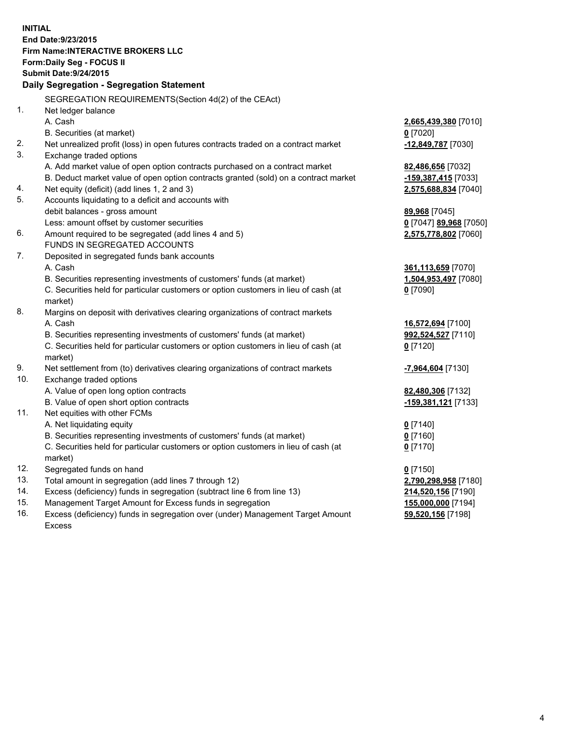**INITIAL End Date:9/23/2015 Firm Name:INTERACTIVE BROKERS LLC Form:Daily Seg - FOCUS II Submit Date:9/24/2015 Daily Segregation - Segregation Statement** SEGREGATION REQUIREMENTS(Section 4d(2) of the CEAct) 1. Net ledger balance A. Cash **2,665,439,380** [7010] B. Securities (at market) **0** [7020] 2. Net unrealized profit (loss) in open futures contracts traded on a contract market **-12,849,787** [7030] 3. Exchange traded options A. Add market value of open option contracts purchased on a contract market **82,486,656** [7032] B. Deduct market value of open option contracts granted (sold) on a contract market **-159,387,415** [7033] 4. Net equity (deficit) (add lines 1, 2 and 3) **2,575,688,834** [7040] 5. Accounts liquidating to a deficit and accounts with debit balances - gross amount **89,968** [7045] Less: amount offset by customer securities **0** [7047] **89,968** [7050] 6. Amount required to be segregated (add lines 4 and 5) **2,575,778,802** [7060] FUNDS IN SEGREGATED ACCOUNTS 7. Deposited in segregated funds bank accounts A. Cash **361,113,659** [7070] B. Securities representing investments of customers' funds (at market) **1,504,953,497** [7080] C. Securities held for particular customers or option customers in lieu of cash (at market) **0** [7090] 8. Margins on deposit with derivatives clearing organizations of contract markets A. Cash **16,572,694** [7100] B. Securities representing investments of customers' funds (at market) **992,524,527** [7110] C. Securities held for particular customers or option customers in lieu of cash (at market) **0** [7120] 9. Net settlement from (to) derivatives clearing organizations of contract markets **-7,964,604** [7130] 10. Exchange traded options A. Value of open long option contracts **82,480,306** [7132] B. Value of open short option contracts **-159,381,121** [7133] 11. Net equities with other FCMs A. Net liquidating equity **0** [7140] B. Securities representing investments of customers' funds (at market) **0** [7160] C. Securities held for particular customers or option customers in lieu of cash (at market) **0** [7170] 12. Segregated funds on hand **0** [7150] 13. Total amount in segregation (add lines 7 through 12) **2,790,298,958** [7180] 14. Excess (deficiency) funds in segregation (subtract line 6 from line 13) **214,520,156** [7190] 15. Management Target Amount for Excess funds in segregation **155,000,000** [7194] 16. Excess (deficiency) funds in segregation over (under) Management Target Amount **59,520,156** [7198]

Excess